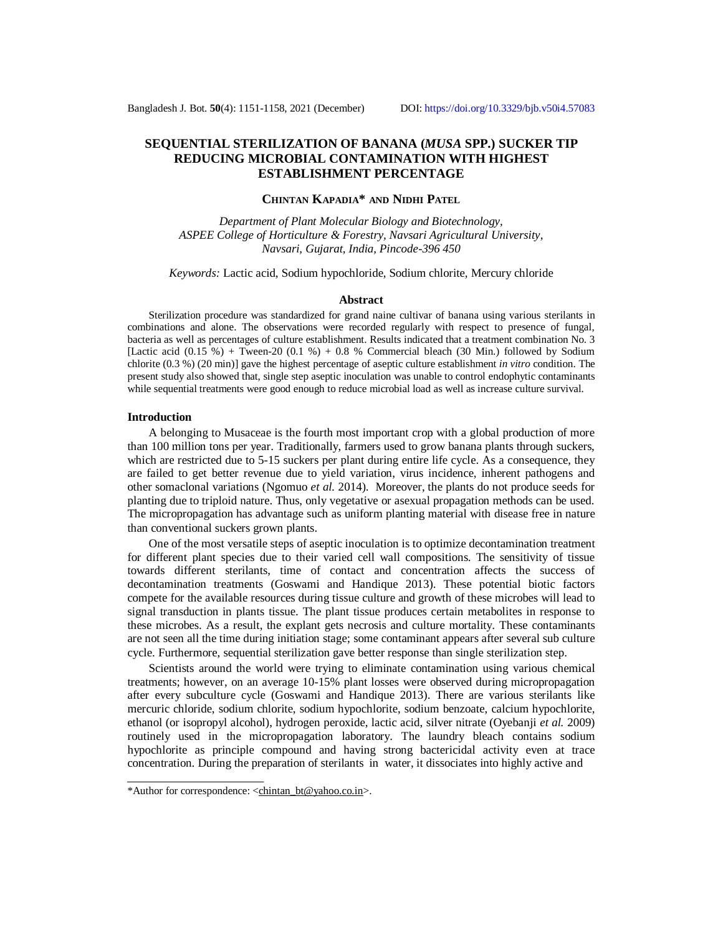# **SEQUENTIAL STERILIZATION OF BANANA (***MUSA* **SPP.) SUCKER TIP REDUCING MICROBIAL CONTAMINATION WITH HIGHEST ESTABLISHMENT PERCENTAGE**

## **CHINTAN KAPADIA\* AND NIDHI PATEL**

*Department of Plant Molecular Biology and Biotechnology, ASPEE College of Horticulture & Forestry, Navsari Agricultural University, Navsari, Gujarat, India, Pincode-396 450*

*Keywords:* Lactic acid, Sodium hypochloride, Sodium chlorite, Mercury chloride

### **Abstract**

Sterilization procedure was standardized for grand naine cultivar of banana using various sterilants in combinations and alone. The observations were recorded regularly with respect to presence of fungal, bacteria as well as percentages of culture establishment. Results indicated that a treatment combination No. 3 [Lactic acid  $(0.15 \%)$  + Tween-20  $(0.1 \%)$  + 0.8 % Commercial bleach (30 Min.) followed by Sodium chlorite (0.3 %) (20 min)] gave the highest percentage of aseptic culture establishment *in vitro* condition. The present study also showed that, single step aseptic inoculation was unable to control endophytic contaminants while sequential treatments were good enough to reduce microbial load as well as increase culture survival.

### **Introduction**

A belonging to Musaceae is the fourth most important crop with a global production of more than 100 million tons per year. Traditionally, farmers used to grow banana plants through suckers, which are restricted due to 5-15 suckers per plant during entire life cycle. As a consequence, they are failed to get better revenue due to yield variation, virus incidence, inherent pathogens and other somaclonal variations (Ngomuo *et al.* 2014). Moreover, the plants do not produce seeds for planting due to triploid nature. Thus, only vegetative or asexual propagation methods can be used. The micropropagation has advantage such as uniform planting material with disease free in nature than conventional suckers grown plants.

One of the most versatile steps of aseptic inoculation is to optimize decontamination treatment for different plant species due to their varied cell wall compositions. The sensitivity of tissue towards different sterilants, time of contact and concentration affects the success of decontamination treatments (Goswami and Handique 2013). These potential biotic factors compete for the available resources during tissue culture and growth of these microbes will lead to signal transduction in plants tissue. The plant tissue produces certain metabolites in response to these microbes. As a result, the explant gets necrosis and culture mortality. These contaminants are not seen all the time during initiation stage; some contaminant appears after several sub culture cycle. Furthermore, sequential sterilization gave better response than single sterilization step.

Scientists around the world were trying to eliminate contamination using various chemical treatments; however, on an average 10-15% plant losses were observed during micropropagation after every subculture cycle (Goswami and Handique 2013). There are various sterilants like mercuric chloride, sodium chlorite, sodium hypochlorite, sodium benzoate, calcium hypochlorite, ethanol (or isopropyl alcohol), hydrogen peroxide, lactic acid, silver nitrate (Oyebanji *et al.* 2009) routinely used in the micropropagation laboratory. The laundry bleach contains sodium hypochlorite as principle compound and having strong bactericidal activity even at trace concentration. During the preparation of sterilants in water, it dissociates into highly active and

<sup>\*</sup>Author for correspondence: [<chintan\\_bt@yahoo.co.in>](mailto:chintan_bt@yahoo.co.in).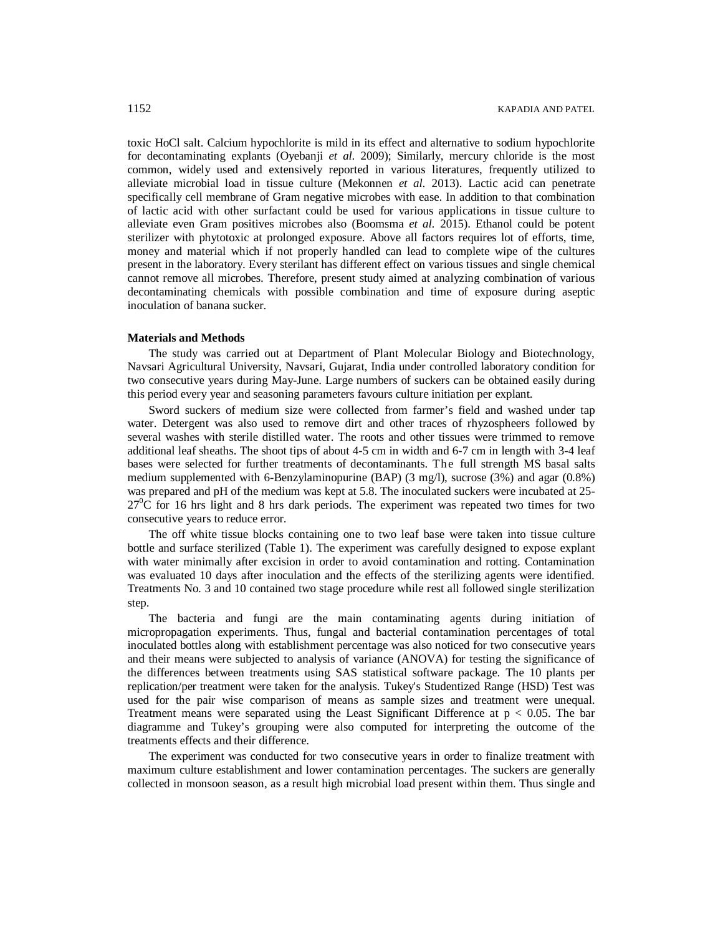toxic HoCl salt. Calcium hypochlorite is mild in its effect and alternative to sodium hypochlorite for decontaminating explants (Oyebanji *et al.* 2009); Similarly, mercury chloride is the most common, widely used and extensively reported in various literatures, frequently utilized to alleviate microbial load in tissue culture (Mekonnen *et al.* 2013). Lactic acid can penetrate specifically cell membrane of Gram negative microbes with ease. In addition to that combination of lactic acid with other surfactant could be used for various applications in tissue culture to alleviate even Gram positives microbes also (Boomsma *et al.* 2015). Ethanol could be potent sterilizer with phytotoxic at prolonged exposure. Above all factors requires lot of efforts, time, money and material which if not properly handled can lead to complete wipe of the cultures present in the laboratory. Every sterilant has different effect on various tissues and single chemical cannot remove all microbes. Therefore, present study aimed at analyzing combination of various decontaminating chemicals with possible combination and time of exposure during aseptic inoculation of banana sucker.

# **Materials and Methods**

The study was carried out at Department of Plant Molecular Biology and Biotechnology, Navsari Agricultural University, Navsari, Gujarat, India under controlled laboratory condition for two consecutive years during May-June. Large numbers of suckers can be obtained easily during this period every year and seasoning parameters favours culture initiation per explant.

Sword suckers of medium size were collected from farmer's field and washed under tap water. Detergent was also used to remove dirt and other traces of rhyzospheers followed by several washes with sterile distilled water. The roots and other tissues were trimmed to remove additional leaf sheaths. The shoot tips of about 4-5 cm in width and 6-7 cm in length with 3-4 leaf bases were selected for further treatments of decontaminants. The full strength MS basal salts medium supplemented with 6-Benzylaminopurine (BAP) (3 mg/l), sucrose (3%) and agar (0.8%) was prepared and pH of the medium was kept at 5.8. The inoculated suckers were incubated at 25-  $27^{\circ}$ C for 16 hrs light and 8 hrs dark periods. The experiment was repeated two times for two consecutive years to reduce error.

The off white tissue blocks containing one to two leaf base were taken into tissue culture bottle and surface sterilized (Table 1). The experiment was carefully designed to expose explant with water minimally after excision in order to avoid contamination and rotting. Contamination was evaluated 10 days after inoculation and the effects of the sterilizing agents were identified. Treatments No. 3 and 10 contained two stage procedure while rest all followed single sterilization step.

The bacteria and fungi are the main contaminating agents during initiation of micropropagation experiments. Thus, fungal and bacterial contamination percentages of total inoculated bottles along with establishment percentage was also noticed for two consecutive years and their means were subjected to analysis of variance (ANOVA) for testing the significance of the differences between treatments using SAS statistical software package. The 10 plants per replication/per treatment were taken for the analysis. Tukey's Studentized Range (HSD) Test was used for the pair wise comparison of means as sample sizes and treatment were unequal. Treatment means were separated using the Least Significant Difference at  $p < 0.05$ . The bar diagramme and Tukey's grouping were also computed for interpreting the outcome of the treatments effects and their difference.

The experiment was conducted for two consecutive years in order to finalize treatment with maximum culture establishment and lower contamination percentages. The suckers are generally collected in monsoon season, as a result high microbial load present within them. Thus single and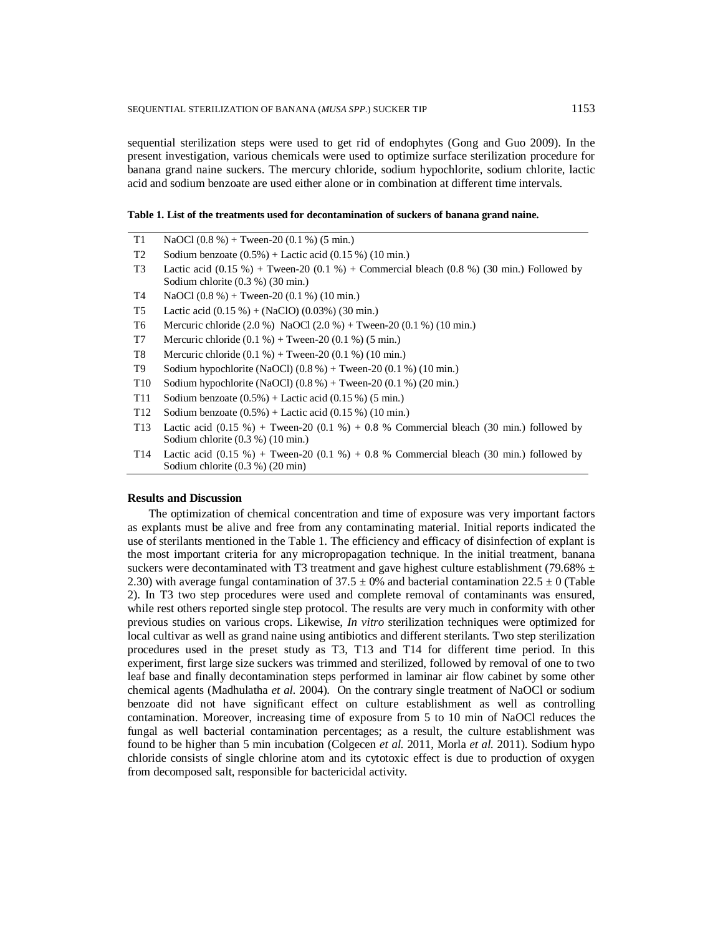sequential sterilization steps were used to get rid of endophytes (Gong and Guo 2009). In the present investigation, various chemicals were used to optimize surface sterilization procedure for banana grand naine suckers. The mercury chloride, sodium hypochlorite, sodium chlorite, lactic acid and sodium benzoate are used either alone or in combination at different time intervals.

# **Table 1. List of the treatments used for decontamination of suckers of banana grand naine.**

- T1 NaOCl  $(0.8\%)+$  Tween-20  $(0.1\%)(5 \text{ min.})$ T2 Sodium benzoate  $(0.5\%)$  + Lactic acid  $(0.15\%)$  (10 min.) T3 Lactic acid  $(0.15 \%)$  + Tween-20  $(0.1 \%)$  + Commercial bleach  $(0.8 \%)$  (30 min.) Followed by Sodium chlorite (0.3 %) (30 min.) T4 NaOCl (0.8 %) + Tween-20 (0.1 %) (10 min.) T5 Lactic acid (0.15 %) + (NaClO) (0.03%) (30 min.) T6 Mercuric chloride (2.0 %) NaOCl (2.0 %) + Tween-20 (0.1 %) (10 min.)
- T7 Mercuric chloride  $(0.1 %) +$ Tween-20  $(0.1 %)$  (5 min.)
- T8 Mercuric chloride  $(0.1 \%) +$  Tween-20  $(0.1 \%)$  (10 min.)
- T9 Sodium hypochlorite (NaOCl) (0.8 %) + Tween-20 (0.1 %) (10 min.)
- T10 Sodium hypochlorite (NaOCl) (0.8 %) + Tween-20 (0.1 %) (20 min.)
- T11 Sodium benzoate  $(0.5\%)$  + Lactic acid  $(0.15\%)$  (5 min.)
- T12 Sodium benzoate (0.5%) + Lactic acid (0.15 %) (10 min.)
- T13 Lactic acid  $(0.15 \%)$  + Tween-20  $(0.1 \%)$  + 0.8 % Commercial bleach (30 min.) followed by Sodium chlorite (0.3 %) (10 min.)
- T14 Lactic acid  $(0.15 \%)$  + Tween-20  $(0.1 \%)$  + 0.8 % Commercial bleach (30 min.) followed by Sodium chlorite (0.3 %) (20 min)

# **Results and Discussion**

The optimization of chemical concentration and time of exposure was very important factors as explants must be alive and free from any contaminating material. Initial reports indicated the use of sterilants mentioned in the Table 1. The efficiency and efficacy of disinfection of explant is the most important criteria for any micropropagation technique. In the initial treatment, banana suckers were decontaminated with T3 treatment and gave highest culture establishment (79.68%  $\pm$ 2.30) with average fungal contamination of 37.5  $\pm$  0% and bacterial contamination 22.5  $\pm$  0 (Table 2). In T3 two step procedures were used and complete removal of contaminants was ensured, while rest others reported single step protocol. The results are very much in conformity with other previous studies on various crops. Likewise, *In vitro* sterilization techniques were optimized for local cultivar as well as grand naine using antibiotics and different sterilants. Two step sterilization procedures used in the preset study as T3, T13 and T14 for different time period. In this experiment, first large size suckers was trimmed and sterilized, followed by removal of one to two leaf base and finally decontamination steps performed in laminar air flow cabinet by some other chemical agents (Madhulatha *et al.* 2004). On the contrary single treatment of NaOCl or sodium benzoate did not have significant effect on culture establishment as well as controlling contamination. Moreover, increasing time of exposure from 5 to 10 min of NaOCl reduces the fungal as well bacterial contamination percentages; as a result, the culture establishment was found to be higher than 5 min incubation (Colgecen *et al.* 2011, Morla *et al.* 2011). Sodium hypo chloride consists of single chlorine atom and its cytotoxic effect is due to production of oxygen from decomposed salt, responsible for bactericidal activity.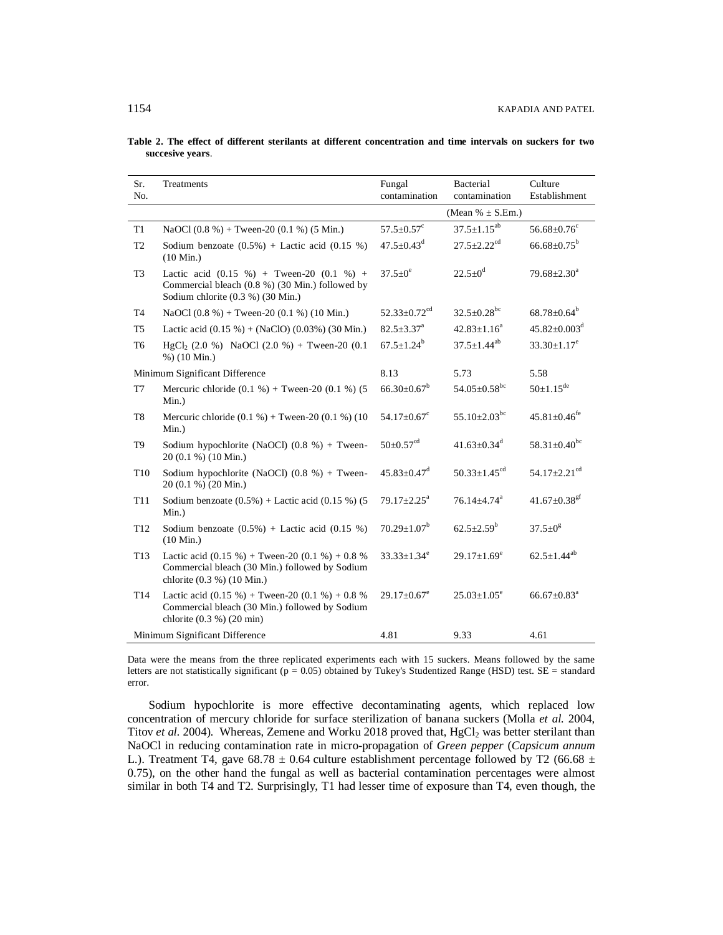|  |                  |  |  | Table 2. The effect of different sterilants at different concentration and time intervals on suckers for two |  |  |  |  |
|--|------------------|--|--|--------------------------------------------------------------------------------------------------------------|--|--|--|--|
|  | succesive years. |  |  |                                                                                                              |  |  |  |  |

| Sr.<br>No.      | Treatments                                                                                                                              | Fungal<br>contamination        | Bacterial<br>contamination     | Culture<br>Establishment       |  |  |
|-----------------|-----------------------------------------------------------------------------------------------------------------------------------------|--------------------------------|--------------------------------|--------------------------------|--|--|
|                 |                                                                                                                                         |                                | (Mean % $\pm$ S.Em.)           |                                |  |  |
| T <sub>1</sub>  | NaOCl $(0.8\%)$ + Tween-20 $(0.1\%)$ (5 Min.)                                                                                           | $57.5 \pm 0.57$ <sup>c</sup>   | $37.5 \pm 1.15^{ab}$           | $56.68 \pm 0.76$ <sup>c</sup>  |  |  |
| T <sub>2</sub>  | Sodium benzoate $(0.5\%)$ + Lactic acid $(0.15\%)$<br>$(10$ Min.)                                                                       | $47.5 \pm 0.43$ <sup>d</sup>   | $27.5 + 2.22$ <sup>cd</sup>    | $66.68 \pm 0.75^{\circ}$       |  |  |
| T <sub>3</sub>  | Lactic acid $(0.15 \%)$ + Tween-20 $(0.1 \%)$ +<br>Commercial bleach (0.8 %) (30 Min.) followed by<br>Sodium chlorite (0.3 %) (30 Min.) | $37.5 \pm 0^e$                 | $22.5 \pm 0^d$                 | $79.68 \pm 2.30^a$             |  |  |
| T <sub>4</sub>  | NaOCl $(0.8\%)$ + Tween-20 $(0.1\%)$ (10 Min.)                                                                                          | $52.33 \pm 0.72$ <sup>cd</sup> | $32.5 \pm 0.28$ <sup>bc</sup>  | $68.78 \pm 0.64^b$             |  |  |
| T <sub>5</sub>  | Lactic acid $(0.15\%) + (NaClO) (0.03\%) (30 Min.)$                                                                                     | $82.5 \pm 3.37^{\text{a}}$     | $42.83 \pm 1.16^a$             | $45.82 \pm 0.003$ <sup>d</sup> |  |  |
| T <sub>6</sub>  | HgCl <sub>2</sub> (2.0 %) NaOCl (2.0 %) + Tween-20 (0.1<br>$%$ ) (10 Min.)                                                              | $67.5 \pm 1.24^b$              | $37.5 \pm 1.44^{ab}$           | $33.30 \pm 1.17^e$             |  |  |
|                 | Minimum Significant Difference                                                                                                          | 8.13                           | 5.73                           | 5.58                           |  |  |
| T7              | Mercuric chloride $(0.1 %) +$ Tween-20 $(0.1 %)$ (5<br>Min.)                                                                            | $66.30 \pm 0.67^b$             | $54.05 \pm 0.58$ <sup>bc</sup> | $50 \pm 1.15$ <sup>de</sup>    |  |  |
| T <sub>8</sub>  | Mercuric chloride $(0.1 %) +$ Tween-20 $(0.1 %) (10)$<br>$Min.$ )                                                                       | $54.17 \pm 0.67$ <sup>c</sup>  | $55.10 \pm 2.03$ <sup>bc</sup> | $45.81 \pm 0.46$ <sup>fe</sup> |  |  |
| T <sub>9</sub>  | Sodium hypochlorite (NaOCl) $(0.8 %) +$ Tween-<br>20 (0.1 %) (10 Min.)                                                                  | $50 \pm 0.57$ <sup>cd</sup>    | $41.63 \pm 0.34$ <sup>d</sup>  | $58.31 \pm 0.40$ bc            |  |  |
| T10             | Sodium hypochlorite (NaOCl) $(0.8 %) +$ Tween-<br>20 (0.1 %) (20 Min.)                                                                  | $45.83 + 0.47$ <sup>d</sup>    | 50.33 $\pm$ 1.45 <sup>cd</sup> | 54.17 $\pm$ 2.21 <sup>cd</sup> |  |  |
| T11             | Sodium benzoate $(0.5\%)$ + Lactic acid $(0.15\%)$ (5<br>$Min.$ )                                                                       | $79.17 \pm 2.25^a$             | $76.14 \pm 4.74$ <sup>a</sup>  | 41.67 $\pm$ 0.38 <sup>gf</sup> |  |  |
| T <sub>12</sub> | Sodium benzoate $(0.5\%)$ + Lactic acid $(0.15\%)$<br>$(10 \text{ Min.})$                                                               | $70.29 \pm 1.07^b$             | $62.5 \pm 2.59^b$              | $37.5 \pm 0^8$                 |  |  |
| T13             | Lactic acid $(0.15\%)$ + Tween-20 $(0.1\%)$ + 0.8 %<br>Commercial bleach (30 Min.) followed by Sodium<br>chlorite (0.3 %) (10 Min.)     | $33.33 \pm 1.34^e$             | $29.17 \pm 1.69^e$             | $62.5 \pm 1.44^{ab}$           |  |  |
| T <sub>14</sub> | Lactic acid $(0.15\%)$ + Tween-20 $(0.1\%)$ + 0.8 %<br>Commercial bleach (30 Min.) followed by Sodium<br>chlorite $(0.3 %) (20 min)$    | $29.17 \pm 0.67$ <sup>e</sup>  | $25.03 \pm 1.05^e$             | $66.67 \pm 0.83$ <sup>a</sup>  |  |  |
|                 | Minimum Significant Difference                                                                                                          | 4.81                           | 9.33                           | 4.61                           |  |  |

Data were the means from the three replicated experiments each with 15 suckers. Means followed by the same letters are not statistically significant ( $p = 0.05$ ) obtained by Tukey's Studentized Range (HSD) test. SE = standard error.

Sodium hypochlorite is more effective decontaminating agents, which replaced low concentration of mercury chloride for surface sterilization of banana suckers (Molla *et al.* 2004, Titov *et al.* 2004). Whereas, Zemene and Worku 2018 proved that, HgCl<sub>2</sub> was better sterilant than NaOCl in reducing contamination rate in micro-propagation of *Green pepper* (*Capsicum annum*  L.). Treatment T4, gave 68.78  $\pm$  0.64 culture establishment percentage followed by T2 (66.68  $\pm$ 0.75), on the other hand the fungal as well as bacterial contamination percentages were almost similar in both T4 and T2. Surprisingly, T1 had lesser time of exposure than T4, even though, the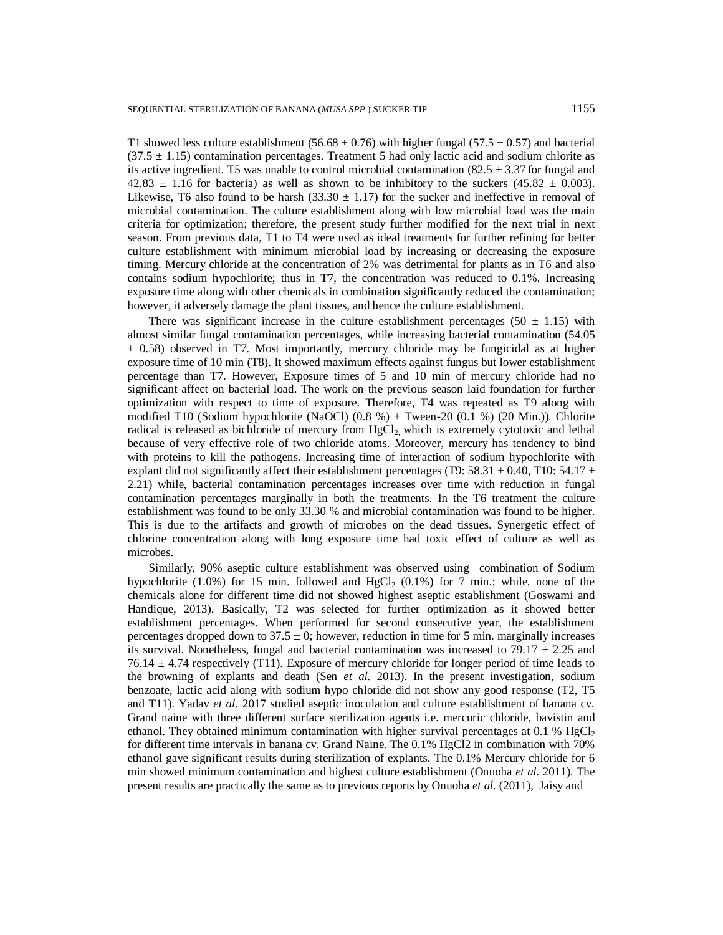T1 showed less culture establishment (56.68  $\pm$  0.76) with higher fungal (57.5  $\pm$  0.57) and bacterial  $(37.5 \pm 1.15)$  contamination percentages. Treatment 5 had only lactic acid and sodium chlorite as its active ingredient. T5 was unable to control microbial contamination  $(82.5 \pm 3.37)$  for fungal and  $42.83 \pm 1.16$  for bacteria) as well as shown to be inhibitory to the suckers (45.82  $\pm$  0.003). Likewise, T6 also found to be harsh (33.30  $\pm$  1.17) for the sucker and ineffective in removal of microbial contamination. The culture establishment along with low microbial load was the main criteria for optimization; therefore, the present study further modified for the next trial in next season. From previous data, T1 to T4 were used as ideal treatments for further refining for better culture establishment with minimum microbial load by increasing or decreasing the exposure timing. Mercury chloride at the concentration of 2% was detrimental for plants as in T6 and also contains sodium hypochlorite; thus in T7, the concentration was reduced to 0.1%. Increasing exposure time along with other chemicals in combination significantly reduced the contamination; however, it adversely damage the plant tissues, and hence the culture establishment.

There was significant increase in the culture establishment percentages (50  $\pm$  1.15) with almost similar fungal contamination percentages, while increasing bacterial contamination (54.05  $\pm$  0.58) observed in T7. Most importantly, mercury chloride may be fungicidal as at higher exposure time of 10 min (T8). It showed maximum effects against fungus but lower establishment percentage than T7. However, Exposure times of 5 and 10 min of mercury chloride had no significant affect on bacterial load. The work on the previous season laid foundation for further optimization with respect to time of exposure. Therefore, T4 was repeated as T9 along with modified T10 (Sodium hypochlorite (NaOCl)  $(0.8 \%)$  + Tween-20  $(0.1 \%)$  (20 Min.)). Chlorite radical is released as bichloride of mercury from  $HgCl<sub>2</sub>$ , which is extremely cytotoxic and lethal because of very effective role of two chloride atoms. Moreover, mercury has tendency to bind with proteins to kill the pathogens. Increasing time of interaction of sodium hypochlorite with explant did not significantly affect their establishment percentages (T9: 58.31  $\pm$  0.40, T10: 54.17  $\pm$ 2.21) while, bacterial contamination percentages increases over time with reduction in fungal contamination percentages marginally in both the treatments. In the T6 treatment the culture establishment was found to be only 33.30 % and microbial contamination was found to be higher. This is due to the artifacts and growth of microbes on the dead tissues. Synergetic effect of chlorine concentration along with long exposure time had toxic effect of culture as well as microbes.

Similarly, 90% aseptic culture establishment was observed using combination of Sodium hypochlorite (1.0%) for 15 min. followed and  $HgCl<sub>2</sub>$  (0.1%) for 7 min.; while, none of the chemicals alone for different time did not showed highest aseptic establishment (Goswami and Handique, 2013). Basically, T2 was selected for further optimization as it showed better establishment percentages. When performed for second consecutive year, the establishment percentages dropped down to  $37.5 \pm 0$ ; however, reduction in time for 5 min. marginally increases its survival. Nonetheless, fungal and bacterial contamination was increased to  $79.17 \pm 2.25$  and  $76.14 \pm 4.74$  respectively (T11). Exposure of mercury chloride for longer period of time leads to the browning of explants and death (Sen *et al.* 2013). In the present investigation, sodium benzoate, lactic acid along with sodium hypo chloride did not show any good response (T2, T5 and T11). Yadav *et al.* 2017 studied aseptic inoculation and culture establishment of banana cv. Grand naine with three different surface sterilization agents i.e. mercuric chloride, bavistin and ethanol. They obtained minimum contamination with higher survival percentages at 0.1 %  $HgCl<sub>2</sub>$ for different time intervals in banana cv. Grand Naine. The 0.1% HgCl2 in combination with 70% ethanol gave significant results during sterilization of explants. The 0.1% Mercury chloride for 6 min showed minimum contamination and highest culture establishment (Onuoha *et al.* 2011). The present results are practically the same as to previous reports by Onuoha *et al.* (2011), Jaisy and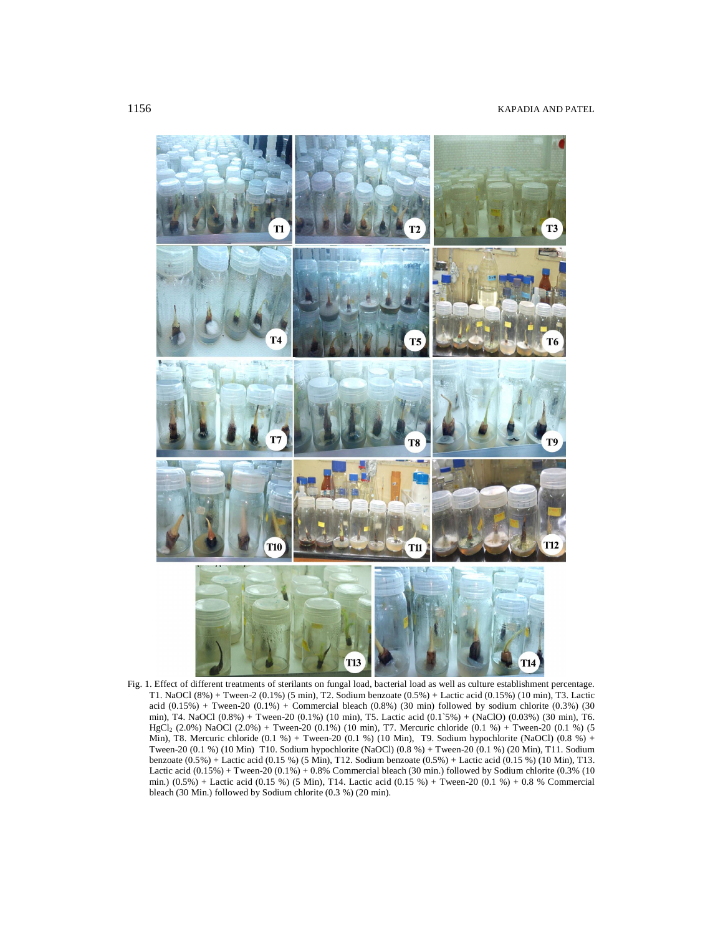

Fig. 1. Effect of different treatments of sterilants on fungal load, bacterial load as well as culture establishment percentage. T1. NaOCl (8%) + Tween-2 (0.1%) (5 min), T2. Sodium benzoate (0.5%) + Lactic acid (0.15%) (10 min), T3. Lactic acid (0.15%) + Tween-20 (0.1%) + Commercial bleach (0.8%) (30 min) followed by sodium chlorite (0.3%) (30 min), T4. NaOCl (0.8%) + Tween-20 (0.1%) (10 min), T5. Lactic acid (0.1`5%) + (NaClO) (0.03%) (30 min), T6. HgCl<sup>2</sup> (2.0%) NaOCl (2.0%) + Tween-20 (0.1%) (10 min), T7. Mercuric chloride (0.1 %) + Tween-20 (0.1 %) (5 Min), T8. Mercuric chloride  $(0.1 \%)$  + Tween-20  $(0.1 \%)$  (10 Min), T9. Sodium hypochlorite (NaOCl)  $(0.8 \%)$  + Tween-20 (0.1 %) (10 Min) T10. Sodium hypochlorite (NaOCl) (0.8 %) + Tween-20 (0.1 %) (20 Min), T11. Sodium benzoate (0.5%) + Lactic acid (0.15 %) (5 Min), T12. Sodium benzoate (0.5%) + Lactic acid (0.15 %) (10 Min), T13. Lactic acid (0.15%) + Tween-20 (0.1%) + 0.8% Commercial bleach (30 min.) followed by Sodium chlorite (0.3% (10 min.) (0.5%) + Lactic acid (0.15 %) (5 Min), T14. Lactic acid (0.15 %) + Tween-20 (0.1 %) + 0.8 % Commercial bleach (30 Min.) followed by Sodium chlorite (0.3 %) (20 min).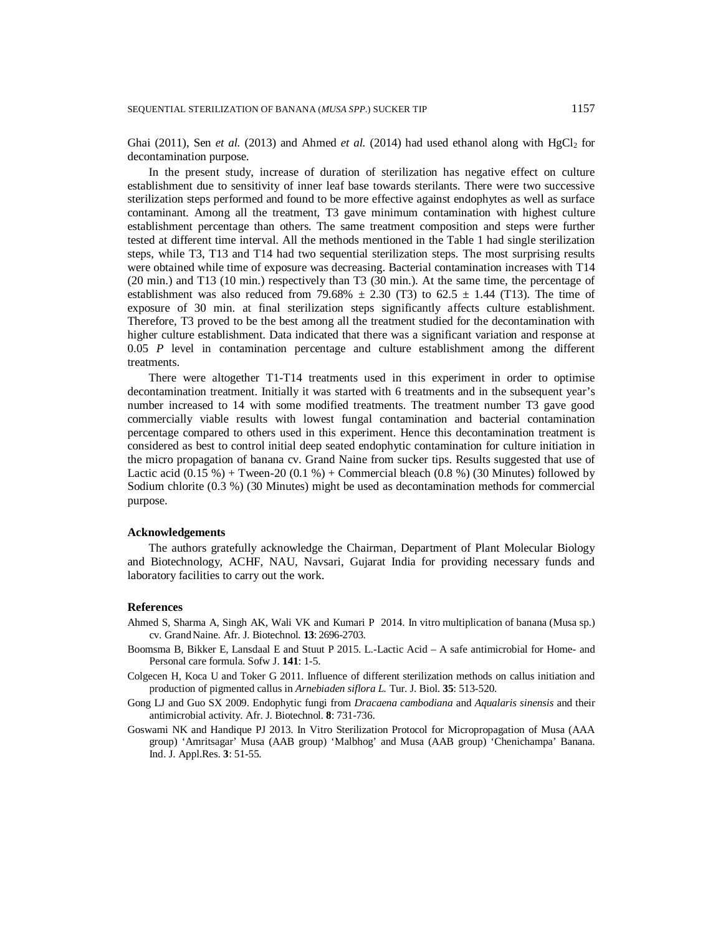Ghai (2011), Sen *et al.* (2013) and Ahmed *et al.* (2014) had used ethanol along with  $HgCl<sub>2</sub>$  for decontamination purpose.

In the present study, increase of duration of sterilization has negative effect on culture establishment due to sensitivity of inner leaf base towards sterilants. There were two successive sterilization steps performed and found to be more effective against endophytes as well as surface contaminant. Among all the treatment, T3 gave minimum contamination with highest culture establishment percentage than others. The same treatment composition and steps were further tested at different time interval. All the methods mentioned in the Table 1 had single sterilization steps, while T3, T13 and T14 had two sequential sterilization steps. The most surprising results were obtained while time of exposure was decreasing. Bacterial contamination increases with T14 (20 min.) and T13 (10 min.) respectively than T3 (30 min.). At the same time, the percentage of establishment was also reduced from 79.68%  $\pm$  2.30 (T3) to 62.5  $\pm$  1.44 (T13). The time of exposure of 30 min. at final sterilization steps significantly affects culture establishment. Therefore, T3 proved to be the best among all the treatment studied for the decontamination with higher culture establishment. Data indicated that there was a significant variation and response at 0.05 *P* level in contamination percentage and culture establishment among the different treatments.

There were altogether T1-T14 treatments used in this experiment in order to optimise decontamination treatment. Initially it was started with 6 treatments and in the subsequent year's number increased to 14 with some modified treatments. The treatment number T3 gave good commercially viable results with lowest fungal contamination and bacterial contamination percentage compared to others used in this experiment. Hence this decontamination treatment is considered as best to control initial deep seated endophytic contamination for culture initiation in the micro propagation of banana cv. Grand Naine from sucker tips. Results suggested that use of Lactic acid  $(0.15 \%)$  + Tween-20  $(0.1 \%)$  + Commercial bleach  $(0.8 \%)$  (30 Minutes) followed by Sodium chlorite (0.3 %) (30 Minutes) might be used as decontamination methods for commercial purpose.

# **Acknowledgements**

The authors gratefully acknowledge the Chairman, Department of Plant Molecular Biology and Biotechnology, ACHF, NAU, Navsari, Gujarat India for providing necessary funds and laboratory facilities to carry out the work.

## **References**

- Ahmed S, Sharma A, Singh AK*,* Wali VK and Kumari P 2014. In vitro multiplication of banana (Musa sp.) cv. GrandNaine. Afr. J. Biotechnol*.* **13**: 2696-2703.
- Boomsma B*,* Bikker E*,* Lansdaal E and Stuut P 2015. L.-Lactic Acid A safe antimicrobial for Home- and Personal care formula. Sofw J. **141**: 1-5.
- Colgecen H*,* Koca U and Toker G 2011. Influence of different sterilization methods on callus initiation and production of pigmented callus in *Arnebiaden siflora L.* Tur. J. Biol. **35**: 513-520.
- Gong LJ and Guo SX 2009. Endophytic fungi from *Dracaena cambodiana* and *Aqualaris sinensis* and their antimicrobial activity. Afr. J. Biotechnol*.* **8**: 731-736.
- Goswami NK and Handique PJ 2013. In Vitro Sterilization Protocol for Micropropagation of Musa (AAA group) 'Amritsagar' Musa (AAB group) 'Malbhog' and Musa (AAB group) 'Chenichampa' Banana. Ind. J. Appl.Res*.* **3**: 51-55.